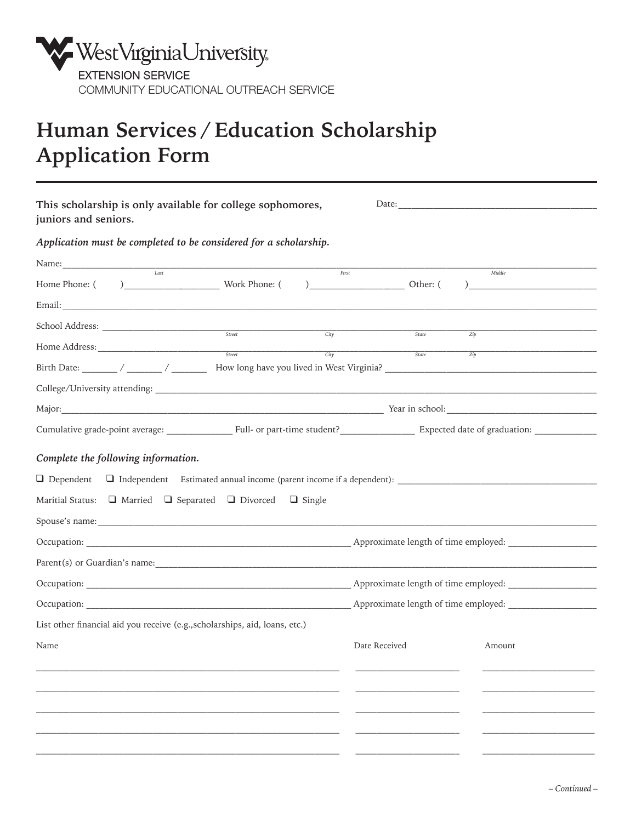

## **Human Services / Education Scholarship Application Form**

| This scholarship is only available for college sophomores,<br>juniors and seniors.                                                                               |                                                                                                                                                                                                                                |                   |               |        |  |
|------------------------------------------------------------------------------------------------------------------------------------------------------------------|--------------------------------------------------------------------------------------------------------------------------------------------------------------------------------------------------------------------------------|-------------------|---------------|--------|--|
| Application must be completed to be considered for a scholarship.                                                                                                |                                                                                                                                                                                                                                |                   |               |        |  |
|                                                                                                                                                                  |                                                                                                                                                                                                                                |                   |               |        |  |
| $I$ ast                                                                                                                                                          |                                                                                                                                                                                                                                | First             |               | Middle |  |
|                                                                                                                                                                  |                                                                                                                                                                                                                                |                   |               |        |  |
|                                                                                                                                                                  |                                                                                                                                                                                                                                | $\overline{City}$ | State         |        |  |
|                                                                                                                                                                  | Street                                                                                                                                                                                                                         | City              | State         | Zip    |  |
|                                                                                                                                                                  |                                                                                                                                                                                                                                |                   |               | Zip    |  |
|                                                                                                                                                                  |                                                                                                                                                                                                                                |                   |               |        |  |
|                                                                                                                                                                  | Major: 1988) Major: 2008 Major: 2008 Major: 2008 Major: 2008 Major: 2008 Major: 2008 Major: 2008 Major: 2008 Major: 2008 Major: 2008 Major: 2008 Major: 2008 Major: 2008 Major: 2008 Major: 2008 Major: 2008 Major: 2008 Major |                   |               |        |  |
| Cumulative grade-point average: _____________________Full- or part-time student? ___________________ Expected date of graduation: ______________________________ |                                                                                                                                                                                                                                |                   |               |        |  |
| Maritial Status: $\Box$ Married $\Box$ Separated $\Box$ Divorced $\Box$ Single                                                                                   |                                                                                                                                                                                                                                |                   |               |        |  |
|                                                                                                                                                                  |                                                                                                                                                                                                                                |                   |               |        |  |
|                                                                                                                                                                  |                                                                                                                                                                                                                                |                   |               |        |  |
|                                                                                                                                                                  |                                                                                                                                                                                                                                |                   |               |        |  |
|                                                                                                                                                                  |                                                                                                                                                                                                                                |                   |               |        |  |
| List other financial aid you receive (e.g., scholarships, aid, loans, etc.)                                                                                      |                                                                                                                                                                                                                                |                   |               |        |  |
| Name                                                                                                                                                             |                                                                                                                                                                                                                                |                   | Date Received | Amount |  |
|                                                                                                                                                                  |                                                                                                                                                                                                                                |                   |               |        |  |
|                                                                                                                                                                  |                                                                                                                                                                                                                                |                   |               |        |  |
|                                                                                                                                                                  |                                                                                                                                                                                                                                |                   |               |        |  |
|                                                                                                                                                                  |                                                                                                                                                                                                                                |                   |               |        |  |
|                                                                                                                                                                  |                                                                                                                                                                                                                                |                   |               |        |  |